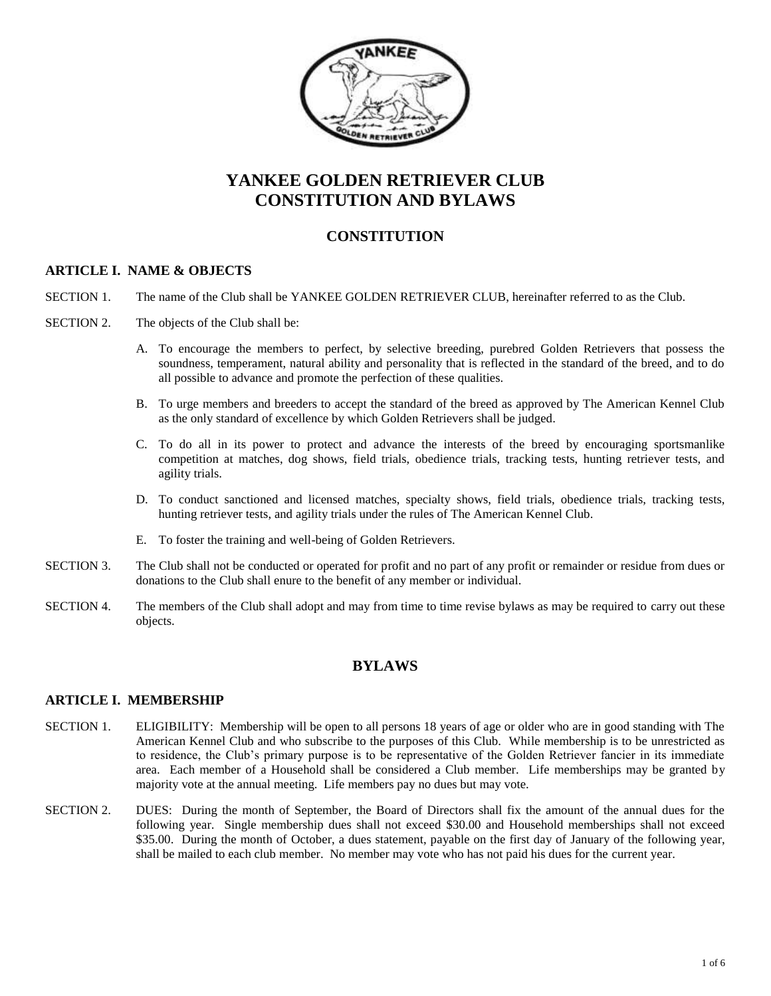

# **YANKEE GOLDEN RETRIEVER CLUB CONSTITUTION AND BYLAWS**

# **CONSTITUTION**

## **ARTICLE I. NAME & OBJECTS**

- SECTION 1. The name of the Club shall be YANKEE GOLDEN RETRIEVER CLUB, hereinafter referred to as the Club.
- SECTION 2. The objects of the Club shall be:
	- A. To encourage the members to perfect, by selective breeding, purebred Golden Retrievers that possess the soundness, temperament, natural ability and personality that is reflected in the standard of the breed, and to do all possible to advance and promote the perfection of these qualities.
	- B. To urge members and breeders to accept the standard of the breed as approved by The American Kennel Club as the only standard of excellence by which Golden Retrievers shall be judged.
	- C. To do all in its power to protect and advance the interests of the breed by encouraging sportsmanlike competition at matches, dog shows, field trials, obedience trials, tracking tests, hunting retriever tests, and agility trials.
	- D. To conduct sanctioned and licensed matches, specialty shows, field trials, obedience trials, tracking tests, hunting retriever tests, and agility trials under the rules of The American Kennel Club.
	- E. To foster the training and well-being of Golden Retrievers.
- SECTION 3. The Club shall not be conducted or operated for profit and no part of any profit or remainder or residue from dues or donations to the Club shall enure to the benefit of any member or individual.
- SECTION 4. The members of the Club shall adopt and may from time to time revise bylaws as may be required to carry out these objects.

# **BYLAWS**

#### **ARTICLE I. MEMBERSHIP**

- SECTION 1. ELIGIBILITY: Membership will be open to all persons 18 years of age or older who are in good standing with The American Kennel Club and who subscribe to the purposes of this Club. While membership is to be unrestricted as to residence, the Club's primary purpose is to be representative of the Golden Retriever fancier in its immediate area. Each member of a Household shall be considered a Club member. Life memberships may be granted by majority vote at the annual meeting. Life members pay no dues but may vote.
- SECTION 2. DUES: During the month of September, the Board of Directors shall fix the amount of the annual dues for the following year. Single membership dues shall not exceed \$30.00 and Household memberships shall not exceed \$35.00. During the month of October, a dues statement, payable on the first day of January of the following year, shall be mailed to each club member. No member may vote who has not paid his dues for the current year.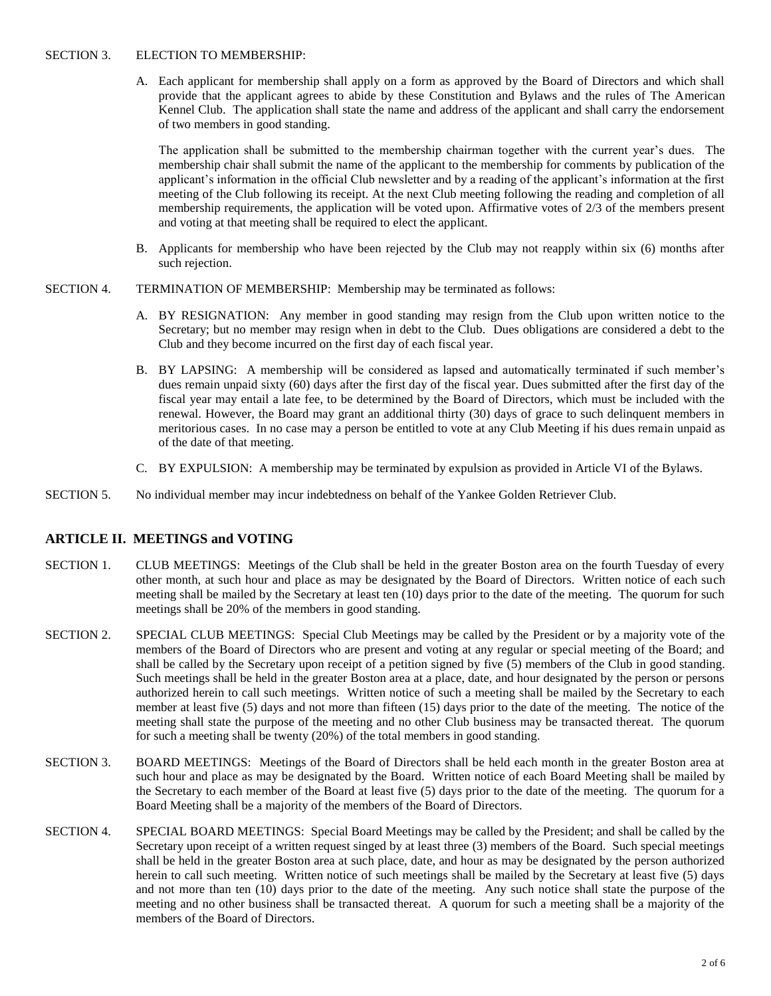#### SECTION 3. ELECTION TO MEMBERSHIP:

A. Each applicant for membership shall apply on a form as approved by the Board of Directors and which shall provide that the applicant agrees to abide by these Constitution and Bylaws and the rules of The American Kennel Club. The application shall state the name and address of the applicant and shall carry the endorsement of two members in good standing.

The application shall be submitted to the membership chairman together with the current year's dues. The membership chair shall submit the name of the applicant to the membership for comments by publication of the applicant's information in the official Club newsletter and by a reading of the applicant's information at the first meeting of the Club following its receipt. At the next Club meeting following the reading and completion of all membership requirements, the application will be voted upon. Affirmative votes of 2/3 of the members present and voting at that meeting shall be required to elect the applicant.

- B. Applicants for membership who have been rejected by the Club may not reapply within six (6) months after such rejection.
- SECTION 4. TERMINATION OF MEMBERSHIP: Membership may be terminated as follows:
	- A. BY RESIGNATION: Any member in good standing may resign from the Club upon written notice to the Secretary; but no member may resign when in debt to the Club. Dues obligations are considered a debt to the Club and they become incurred on the first day of each fiscal year.
	- B. BY LAPSING: A membership will be considered as lapsed and automatically terminated if such member's dues remain unpaid sixty (60) days after the first day of the fiscal year. Dues submitted after the first day of the fiscal year may entail a late fee, to be determined by the Board of Directors, which must be included with the renewal. However, the Board may grant an additional thirty (30) days of grace to such delinquent members in meritorious cases. In no case may a person be entitled to vote at any Club Meeting if his dues remain unpaid as of the date of that meeting.
	- C. BY EXPULSION: A membership may be terminated by expulsion as provided in Article VI of the Bylaws.
- SECTION 5. No individual member may incur indebtedness on behalf of the Yankee Golden Retriever Club.

## **ARTICLE II. MEETINGS and VOTING**

- SECTION 1. CLUB MEETINGS: Meetings of the Club shall be held in the greater Boston area on the fourth Tuesday of every other month, at such hour and place as may be designated by the Board of Directors. Written notice of each such meeting shall be mailed by the Secretary at least ten (10) days prior to the date of the meeting. The quorum for such meetings shall be 20% of the members in good standing.
- SECTION 2. SPECIAL CLUB MEETINGS: Special Club Meetings may be called by the President or by a majority vote of the members of the Board of Directors who are present and voting at any regular or special meeting of the Board; and shall be called by the Secretary upon receipt of a petition signed by five (5) members of the Club in good standing. Such meetings shall be held in the greater Boston area at a place, date, and hour designated by the person or persons authorized herein to call such meetings. Written notice of such a meeting shall be mailed by the Secretary to each member at least five (5) days and not more than fifteen (15) days prior to the date of the meeting. The notice of the meeting shall state the purpose of the meeting and no other Club business may be transacted thereat. The quorum for such a meeting shall be twenty (20%) of the total members in good standing.
- SECTION 3. BOARD MEETINGS: Meetings of the Board of Directors shall be held each month in the greater Boston area at such hour and place as may be designated by the Board. Written notice of each Board Meeting shall be mailed by the Secretary to each member of the Board at least five (5) days prior to the date of the meeting. The quorum for a Board Meeting shall be a majority of the members of the Board of Directors.
- SECTION 4. SPECIAL BOARD MEETINGS: Special Board Meetings may be called by the President; and shall be called by the Secretary upon receipt of a written request singed by at least three (3) members of the Board. Such special meetings shall be held in the greater Boston area at such place, date, and hour as may be designated by the person authorized herein to call such meeting. Written notice of such meetings shall be mailed by the Secretary at least five (5) days and not more than ten (10) days prior to the date of the meeting. Any such notice shall state the purpose of the meeting and no other business shall be transacted thereat. A quorum for such a meeting shall be a majority of the members of the Board of Directors.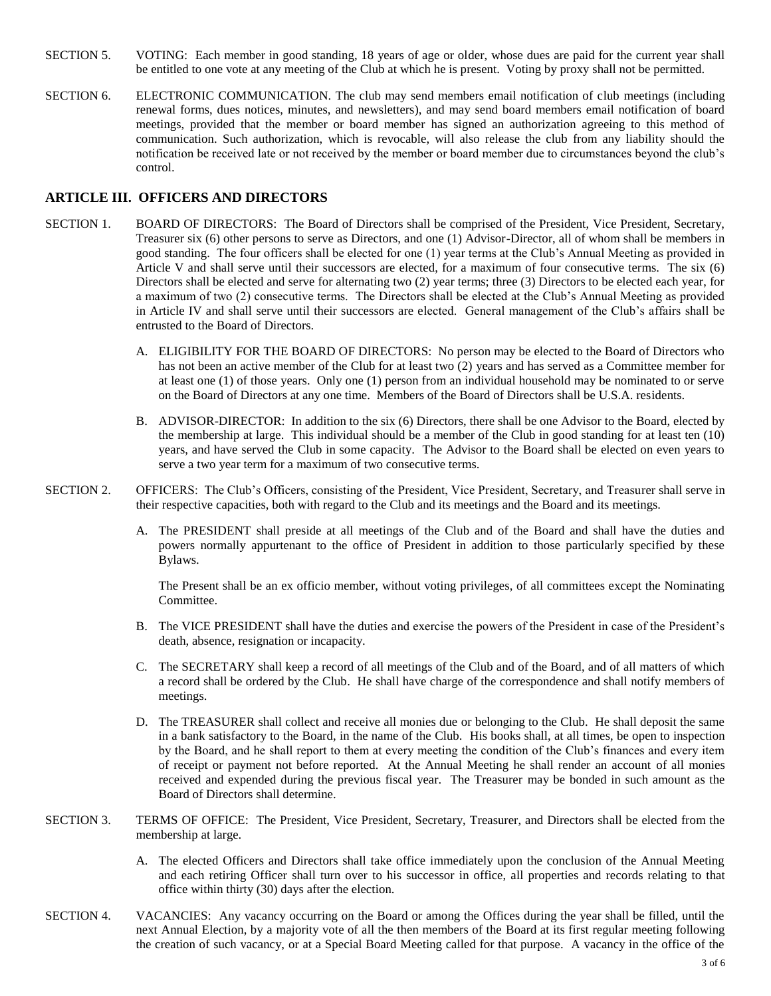- SECTION 5. VOTING: Each member in good standing, 18 years of age or older, whose dues are paid for the current year shall be entitled to one vote at any meeting of the Club at which he is present. Voting by proxy shall not be permitted.
- SECTION 6. ELECTRONIC COMMUNICATION. The club may send members email notification of club meetings (including renewal forms, dues notices, minutes, and newsletters), and may send board members email notification of board meetings, provided that the member or board member has signed an authorization agreeing to this method of communication. Such authorization, which is revocable, will also release the club from any liability should the notification be received late or not received by the member or board member due to circumstances beyond the club's control.

#### **ARTICLE III. OFFICERS AND DIRECTORS**

- SECTION 1. BOARD OF DIRECTORS: The Board of Directors shall be comprised of the President, Vice President, Secretary, Treasurer six (6) other persons to serve as Directors, and one (1) Advisor-Director, all of whom shall be members in good standing. The four officers shall be elected for one (1) year terms at the Club's Annual Meeting as provided in Article V and shall serve until their successors are elected, for a maximum of four consecutive terms. The six (6) Directors shall be elected and serve for alternating two (2) year terms; three (3) Directors to be elected each year, for a maximum of two (2) consecutive terms. The Directors shall be elected at the Club's Annual Meeting as provided in Article IV and shall serve until their successors are elected. General management of the Club's affairs shall be entrusted to the Board of Directors.
	- A. ELIGIBILITY FOR THE BOARD OF DIRECTORS: No person may be elected to the Board of Directors who has not been an active member of the Club for at least two (2) years and has served as a Committee member for at least one (1) of those years. Only one (1) person from an individual household may be nominated to or serve on the Board of Directors at any one time. Members of the Board of Directors shall be U.S.A. residents.
	- B. ADVISOR-DIRECTOR: In addition to the six (6) Directors, there shall be one Advisor to the Board, elected by the membership at large. This individual should be a member of the Club in good standing for at least ten (10) years, and have served the Club in some capacity. The Advisor to the Board shall be elected on even years to serve a two year term for a maximum of two consecutive terms.
- SECTION 2. OFFICERS: The Club's Officers, consisting of the President, Vice President, Secretary, and Treasurer shall serve in their respective capacities, both with regard to the Club and its meetings and the Board and its meetings.
	- A. The PRESIDENT shall preside at all meetings of the Club and of the Board and shall have the duties and powers normally appurtenant to the office of President in addition to those particularly specified by these Bylaws.

The Present shall be an ex officio member, without voting privileges, of all committees except the Nominating Committee.

- B. The VICE PRESIDENT shall have the duties and exercise the powers of the President in case of the President's death, absence, resignation or incapacity.
- C. The SECRETARY shall keep a record of all meetings of the Club and of the Board, and of all matters of which a record shall be ordered by the Club. He shall have charge of the correspondence and shall notify members of meetings.
- D. The TREASURER shall collect and receive all monies due or belonging to the Club. He shall deposit the same in a bank satisfactory to the Board, in the name of the Club. His books shall, at all times, be open to inspection by the Board, and he shall report to them at every meeting the condition of the Club's finances and every item of receipt or payment not before reported. At the Annual Meeting he shall render an account of all monies received and expended during the previous fiscal year. The Treasurer may be bonded in such amount as the Board of Directors shall determine.
- SECTION 3. TERMS OF OFFICE: The President, Vice President, Secretary, Treasurer, and Directors shall be elected from the membership at large.
	- A. The elected Officers and Directors shall take office immediately upon the conclusion of the Annual Meeting and each retiring Officer shall turn over to his successor in office, all properties and records relating to that office within thirty (30) days after the election.
- SECTION 4. VACANCIES: Any vacancy occurring on the Board or among the Offices during the year shall be filled, until the next Annual Election, by a majority vote of all the then members of the Board at its first regular meeting following the creation of such vacancy, or at a Special Board Meeting called for that purpose. A vacancy in the office of the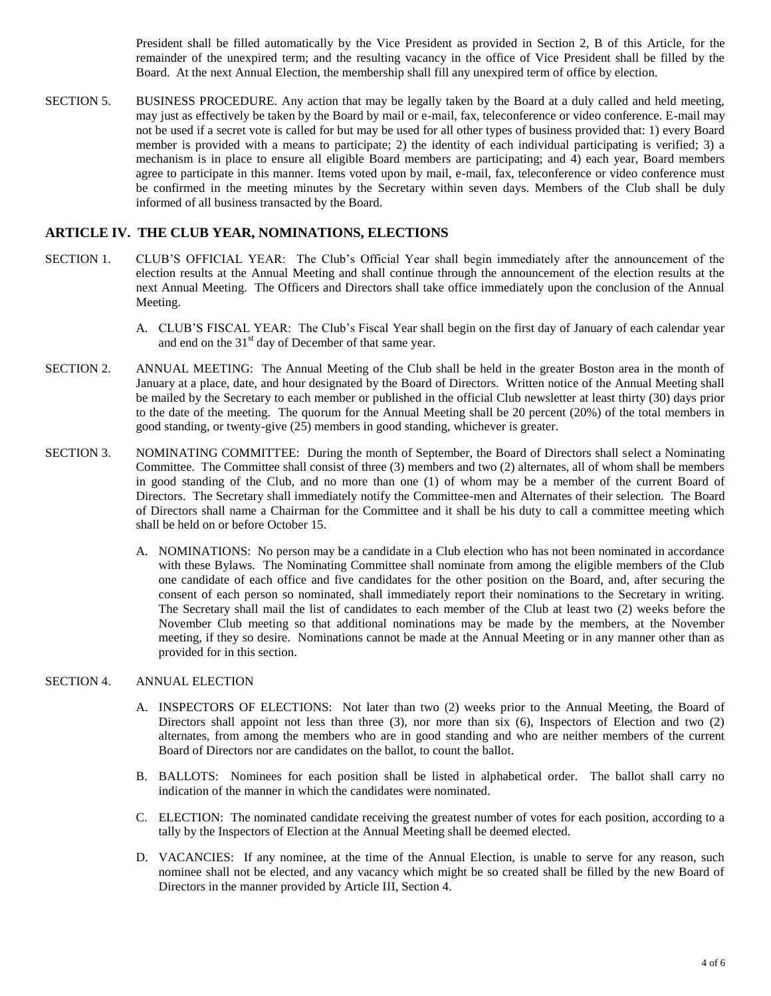President shall be filled automatically by the Vice President as provided in Section 2, B of this Article, for the remainder of the unexpired term; and the resulting vacancy in the office of Vice President shall be filled by the Board. At the next Annual Election, the membership shall fill any unexpired term of office by election.

SECTION 5. BUSINESS PROCEDURE. Any action that may be legally taken by the Board at a duly called and held meeting, may just as effectively be taken by the Board by mail or e-mail, fax, teleconference or video conference. E-mail may not be used if a secret vote is called for but may be used for all other types of business provided that: 1) every Board member is provided with a means to participate; 2) the identity of each individual participating is verified; 3) a mechanism is in place to ensure all eligible Board members are participating; and 4) each year, Board members agree to participate in this manner. Items voted upon by mail, e-mail, fax, teleconference or video conference must be confirmed in the meeting minutes by the Secretary within seven days. Members of the Club shall be duly informed of all business transacted by the Board.

#### **ARTICLE IV. THE CLUB YEAR, NOMINATIONS, ELECTIONS**

- SECTION 1. CLUB'S OFFICIAL YEAR: The Club's Official Year shall begin immediately after the announcement of the election results at the Annual Meeting and shall continue through the announcement of the election results at the next Annual Meeting. The Officers and Directors shall take office immediately upon the conclusion of the Annual Meeting.
	- A. CLUB'S FISCAL YEAR: The Club's Fiscal Year shall begin on the first day of January of each calendar year and end on the  $31<sup>st</sup>$  day of December of that same year.
- SECTION 2. ANNUAL MEETING: The Annual Meeting of the Club shall be held in the greater Boston area in the month of January at a place, date, and hour designated by the Board of Directors. Written notice of the Annual Meeting shall be mailed by the Secretary to each member or published in the official Club newsletter at least thirty (30) days prior to the date of the meeting. The quorum for the Annual Meeting shall be 20 percent (20%) of the total members in good standing, or twenty-give (25) members in good standing, whichever is greater.
- SECTION 3. NOMINATING COMMITTEE: During the month of September, the Board of Directors shall select a Nominating Committee. The Committee shall consist of three (3) members and two (2) alternates, all of whom shall be members in good standing of the Club, and no more than one (1) of whom may be a member of the current Board of Directors. The Secretary shall immediately notify the Committee-men and Alternates of their selection. The Board of Directors shall name a Chairman for the Committee and it shall be his duty to call a committee meeting which shall be held on or before October 15.
	- A. NOMINATIONS: No person may be a candidate in a Club election who has not been nominated in accordance with these Bylaws. The Nominating Committee shall nominate from among the eligible members of the Club one candidate of each office and five candidates for the other position on the Board, and, after securing the consent of each person so nominated, shall immediately report their nominations to the Secretary in writing. The Secretary shall mail the list of candidates to each member of the Club at least two (2) weeks before the November Club meeting so that additional nominations may be made by the members, at the November meeting, if they so desire. Nominations cannot be made at the Annual Meeting or in any manner other than as provided for in this section.

#### SECTION 4. ANNUAL ELECTION

- A. INSPECTORS OF ELECTIONS: Not later than two (2) weeks prior to the Annual Meeting, the Board of Directors shall appoint not less than three (3), nor more than six (6), Inspectors of Election and two (2) alternates, from among the members who are in good standing and who are neither members of the current Board of Directors nor are candidates on the ballot, to count the ballot.
- B. BALLOTS: Nominees for each position shall be listed in alphabetical order. The ballot shall carry no indication of the manner in which the candidates were nominated.
- C. ELECTION: The nominated candidate receiving the greatest number of votes for each position, according to a tally by the Inspectors of Election at the Annual Meeting shall be deemed elected.
- D. VACANCIES: If any nominee, at the time of the Annual Election, is unable to serve for any reason, such nominee shall not be elected, and any vacancy which might be so created shall be filled by the new Board of Directors in the manner provided by Article III, Section 4.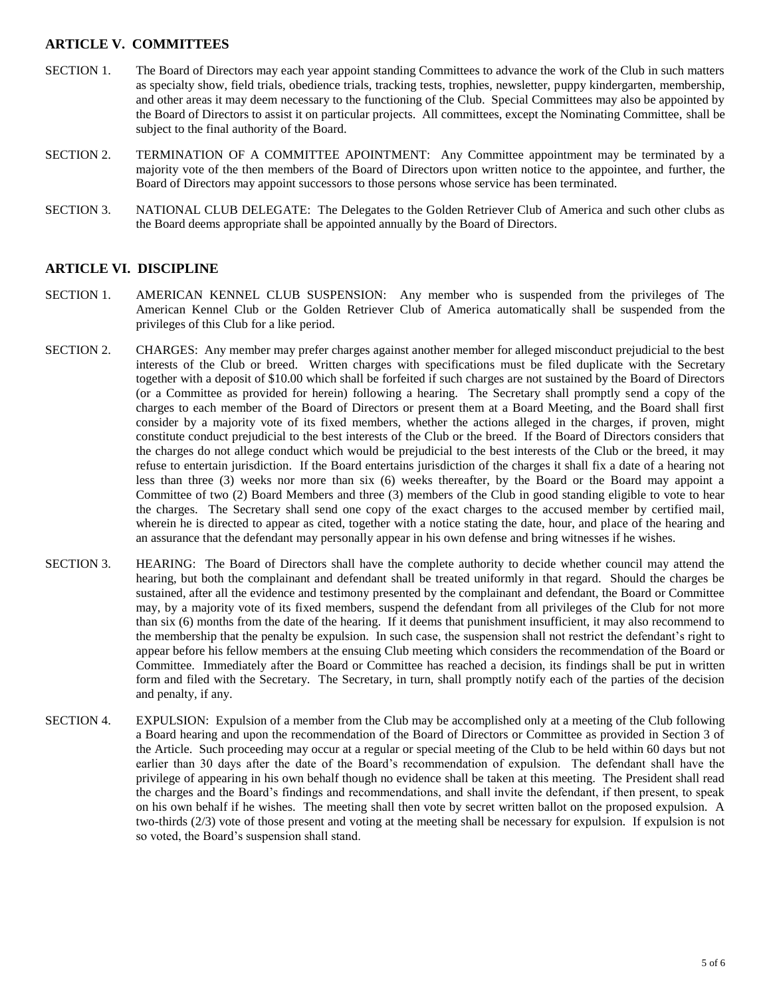# **ARTICLE V. COMMITTEES**

- SECTION 1. The Board of Directors may each year appoint standing Committees to advance the work of the Club in such matters as specialty show, field trials, obedience trials, tracking tests, trophies, newsletter, puppy kindergarten, membership, and other areas it may deem necessary to the functioning of the Club. Special Committees may also be appointed by the Board of Directors to assist it on particular projects. All committees, except the Nominating Committee, shall be subject to the final authority of the Board.
- SECTION 2. TERMINATION OF A COMMITTEE APOINTMENT: Any Committee appointment may be terminated by a majority vote of the then members of the Board of Directors upon written notice to the appointee, and further, the Board of Directors may appoint successors to those persons whose service has been terminated.
- SECTION 3. NATIONAL CLUB DELEGATE: The Delegates to the Golden Retriever Club of America and such other clubs as the Board deems appropriate shall be appointed annually by the Board of Directors.

#### **ARTICLE VI. DISCIPLINE**

- SECTION 1. AMERICAN KENNEL CLUB SUSPENSION: Any member who is suspended from the privileges of The American Kennel Club or the Golden Retriever Club of America automatically shall be suspended from the privileges of this Club for a like period.
- SECTION 2. CHARGES: Any member may prefer charges against another member for alleged misconduct prejudicial to the best interests of the Club or breed. Written charges with specifications must be filed duplicate with the Secretary together with a deposit of \$10.00 which shall be forfeited if such charges are not sustained by the Board of Directors (or a Committee as provided for herein) following a hearing. The Secretary shall promptly send a copy of the charges to each member of the Board of Directors or present them at a Board Meeting, and the Board shall first consider by a majority vote of its fixed members, whether the actions alleged in the charges, if proven, might constitute conduct prejudicial to the best interests of the Club or the breed. If the Board of Directors considers that the charges do not allege conduct which would be prejudicial to the best interests of the Club or the breed, it may refuse to entertain jurisdiction. If the Board entertains jurisdiction of the charges it shall fix a date of a hearing not less than three (3) weeks nor more than six (6) weeks thereafter, by the Board or the Board may appoint a Committee of two (2) Board Members and three (3) members of the Club in good standing eligible to vote to hear the charges. The Secretary shall send one copy of the exact charges to the accused member by certified mail, wherein he is directed to appear as cited, together with a notice stating the date, hour, and place of the hearing and an assurance that the defendant may personally appear in his own defense and bring witnesses if he wishes.
- SECTION 3. HEARING: The Board of Directors shall have the complete authority to decide whether council may attend the hearing, but both the complainant and defendant shall be treated uniformly in that regard. Should the charges be sustained, after all the evidence and testimony presented by the complainant and defendant, the Board or Committee may, by a majority vote of its fixed members, suspend the defendant from all privileges of the Club for not more than six (6) months from the date of the hearing. If it deems that punishment insufficient, it may also recommend to the membership that the penalty be expulsion. In such case, the suspension shall not restrict the defendant's right to appear before his fellow members at the ensuing Club meeting which considers the recommendation of the Board or Committee. Immediately after the Board or Committee has reached a decision, its findings shall be put in written form and filed with the Secretary. The Secretary, in turn, shall promptly notify each of the parties of the decision and penalty, if any.
- SECTION 4. EXPULSION: Expulsion of a member from the Club may be accomplished only at a meeting of the Club following a Board hearing and upon the recommendation of the Board of Directors or Committee as provided in Section 3 of the Article. Such proceeding may occur at a regular or special meeting of the Club to be held within 60 days but not earlier than 30 days after the date of the Board's recommendation of expulsion. The defendant shall have the privilege of appearing in his own behalf though no evidence shall be taken at this meeting. The President shall read the charges and the Board's findings and recommendations, and shall invite the defendant, if then present, to speak on his own behalf if he wishes. The meeting shall then vote by secret written ballot on the proposed expulsion. A two-thirds (2/3) vote of those present and voting at the meeting shall be necessary for expulsion. If expulsion is not so voted, the Board's suspension shall stand.